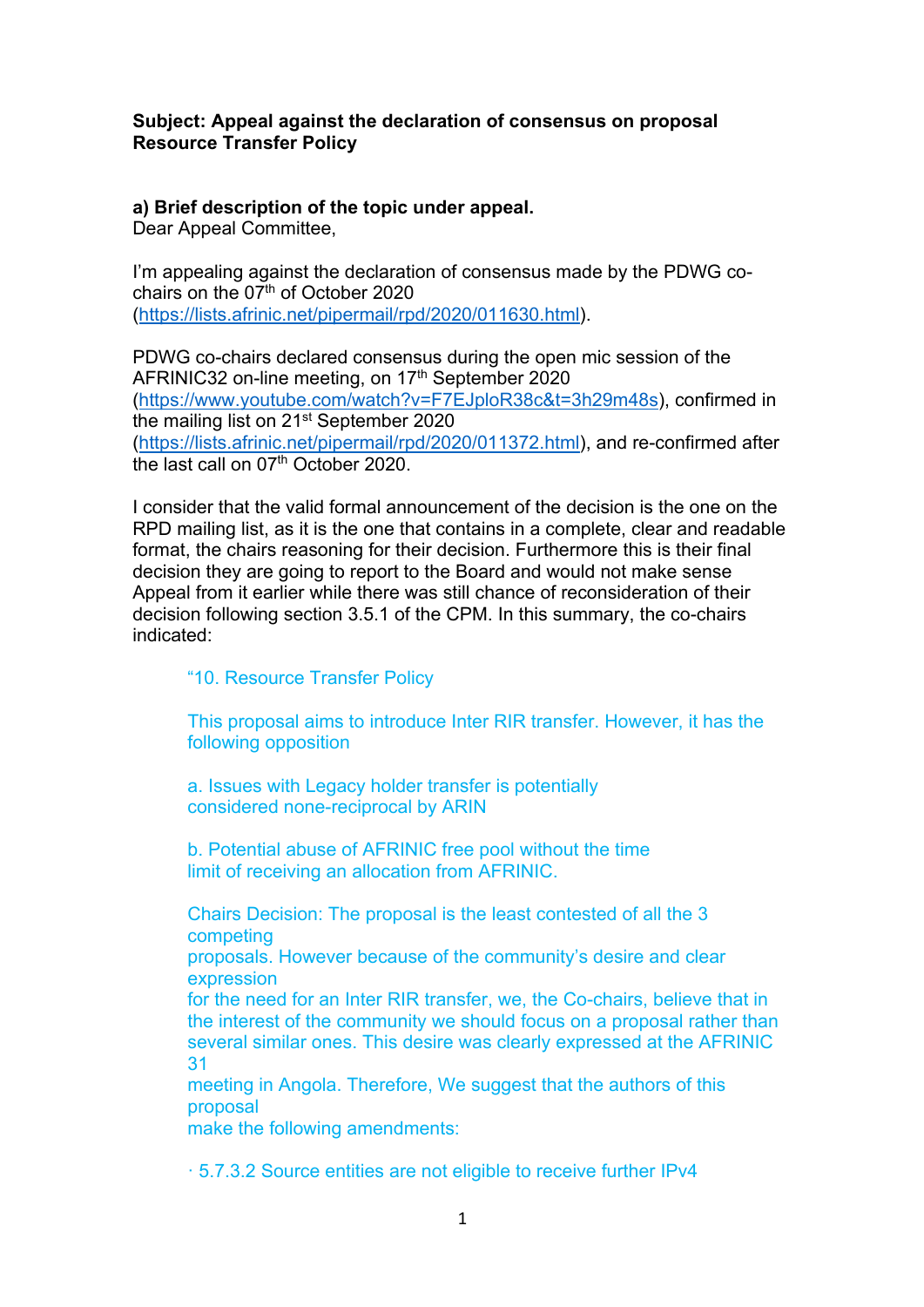#### **Subject: Appeal against the declaration of consensus on proposal Resource Transfer Policy**

# **a) Brief description of the topic under appeal.**

Dear Appeal Committee,

I'm appealing against the declaration of consensus made by the PDWG cochairs on the  $07<sup>th</sup>$  of October 2020 (https://lists.afrinic.net/pipermail/rpd/2020/011630.html).

PDWG co-chairs declared consensus during the open mic session of the AFRINIC32 on-line meeting, on 17<sup>th</sup> September 2020 (https://www.youtube.com/watch?v=F7EJploR38c&t=3h29m48s), confirmed in the mailing list on 21st September 2020 (https://lists.afrinic.net/pipermail/rpd/2020/011372.html), and re-confirmed after the last call on 07<sup>th</sup> October 2020.

I consider that the valid formal announcement of the decision is the one on the RPD mailing list, as it is the one that contains in a complete, clear and readable format, the chairs reasoning for their decision. Furthermore this is their final decision they are going to report to the Board and would not make sense Appeal from it earlier while there was still chance of reconsideration of their decision following section 3.5.1 of the CPM. In this summary, the co-chairs indicated:

#### "10. Resource Transfer Policy

This proposal aims to introduce Inter RIR transfer. However, it has the following opposition

a. Issues with Legacy holder transfer is potentially considered none-reciprocal by ARIN

b. Potential abuse of AFRINIC free pool without the time limit of receiving an allocation from AFRINIC.

Chairs Decision: The proposal is the least contested of all the 3 competing

proposals. However because of the community's desire and clear expression

for the need for an Inter RIR transfer, we, the Co-chairs, believe that in the interest of the community we should focus on a proposal rather than several similar ones. This desire was clearly expressed at the AFRINIC 31

meeting in Angola. Therefore, We suggest that the authors of this proposal

make the following amendments:

· 5.7.3.2 Source entities are not eligible to receive further IPv4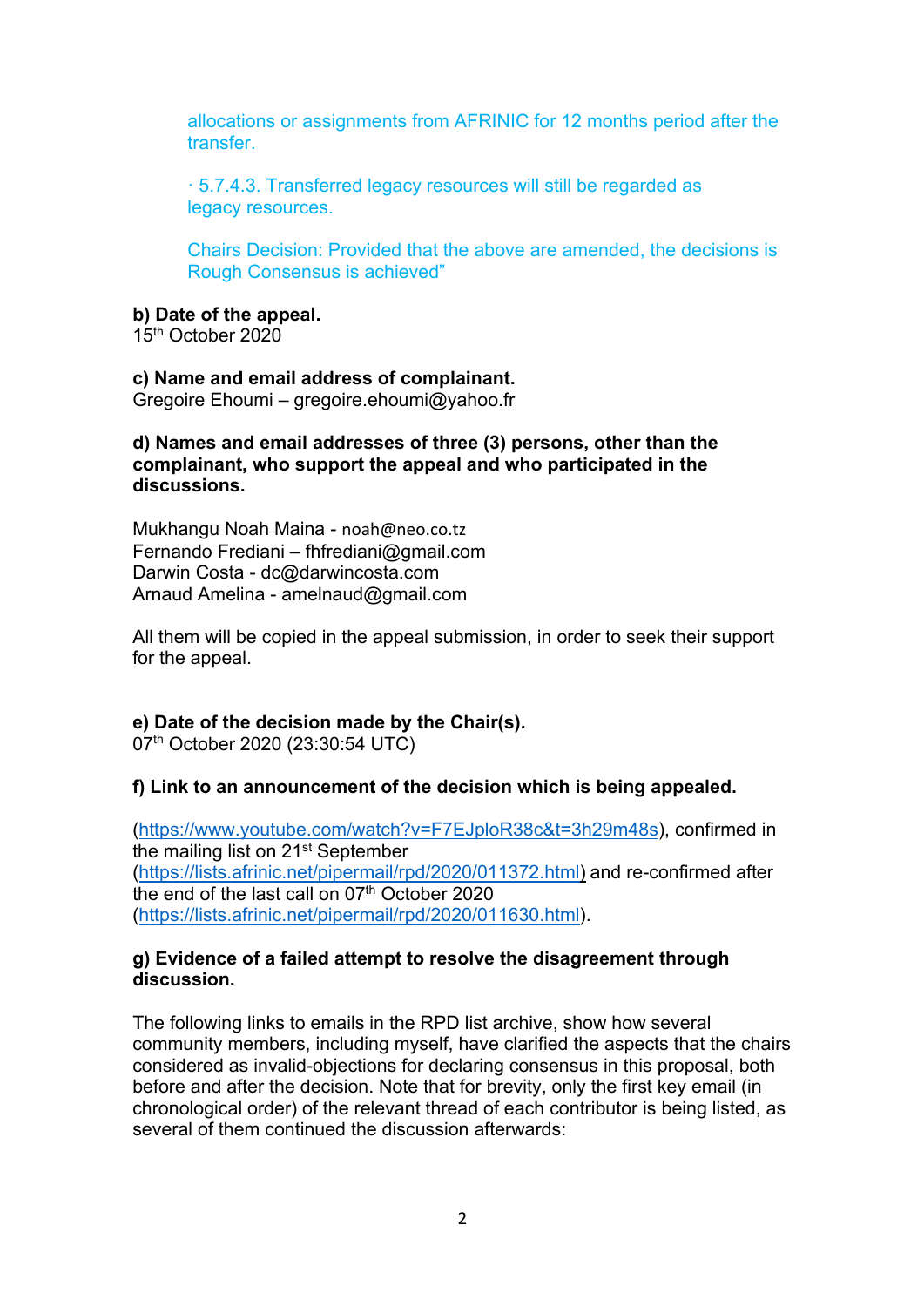allocations or assignments from AFRINIC for 12 months period after the transfer.

· 5.7.4.3. Transferred legacy resources will still be regarded as legacy resources.

Chairs Decision: Provided that the above are amended, the decisions is Rough Consensus is achieved"

#### **b) Date of the appeal.**

15th October 2020

# **c) Name and email address of complainant.**

Gregoire Ehoumi – gregoire.ehoumi@yahoo.fr

#### **d) Names and email addresses of three (3) persons, other than the complainant, who support the appeal and who participated in the discussions.**

Mukhangu Noah Maina - noah@neo.co.tz Fernando Frediani – fhfrediani@gmail.com Darwin Costa - dc@darwincosta.com Arnaud Amelina - amelnaud@gmail.com

All them will be copied in the appeal submission, in order to seek their support for the appeal.

# **e) Date of the decision made by the Chair(s).**

07<sup>th</sup> October 2020 (23:30:54 UTC)

#### **f) Link to an announcement of the decision which is being appealed.**

(https://www.youtube.com/watch?v=F7EJploR38c&t=3h29m48s), confirmed in the mailing list on 21<sup>st</sup> September (https://lists.afrinic.net/pipermail/rpd/2020/011372.html) and re-confirmed after the end of the last call on  $07<sup>th</sup>$  October 2020 (https://lists.afrinic.net/pipermail/rpd/2020/011630.html).

#### **g) Evidence of a failed attempt to resolve the disagreement through discussion.**

The following links to emails in the RPD list archive, show how several community members, including myself, have clarified the aspects that the chairs considered as invalid-objections for declaring consensus in this proposal, both before and after the decision. Note that for brevity, only the first key email (in chronological order) of the relevant thread of each contributor is being listed, as several of them continued the discussion afterwards: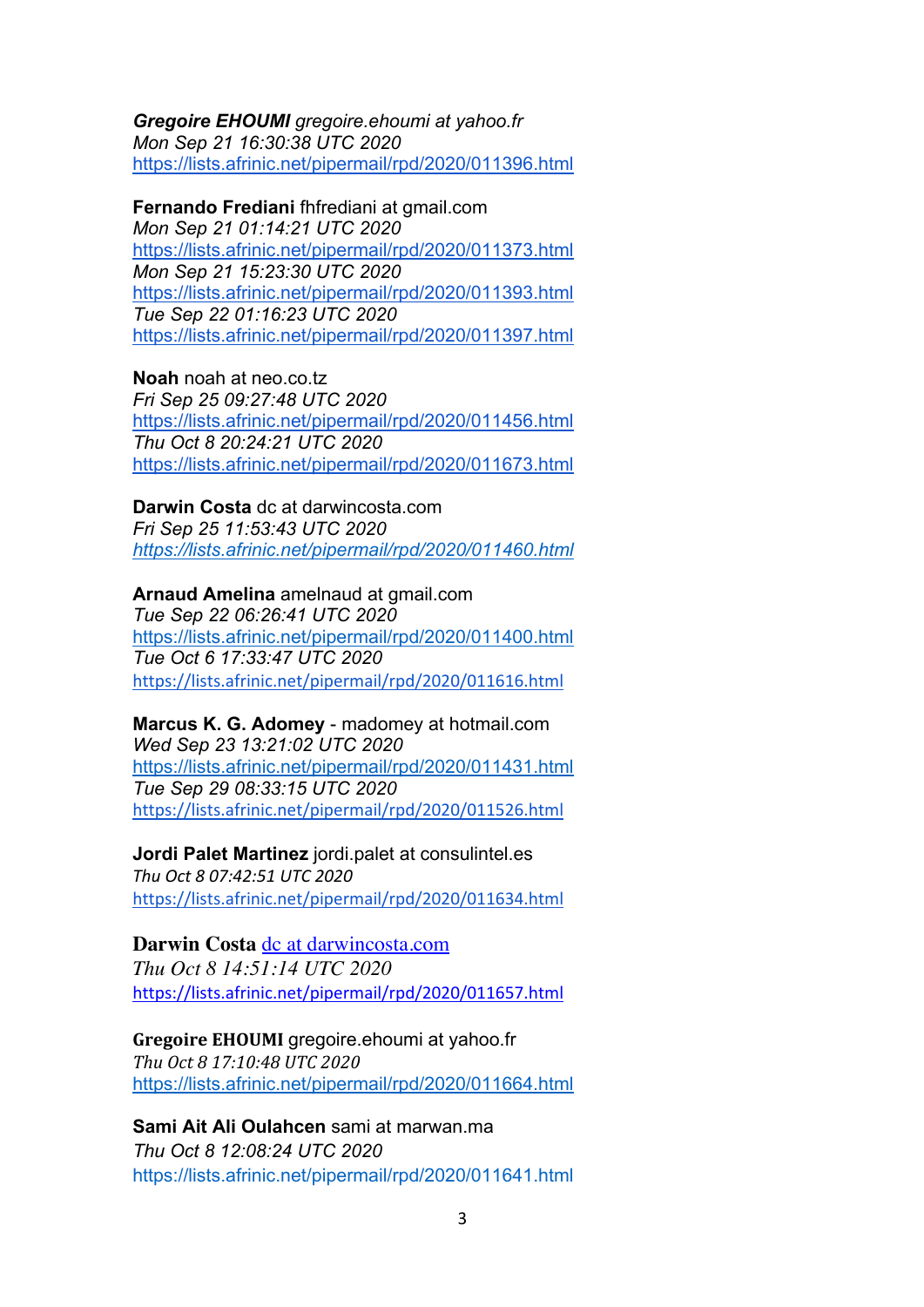*Gregoire EHOUMI gregoire.ehoumi at yahoo.fr Mon Sep 21 16:30:38 UTC 2020*  https://lists.afrinic.net/pipermail/rpd/2020/011396.html

**Fernando Frediani** fhfrediani at gmail.com *Mon Sep 21 01:14:21 UTC 2020* https://lists.afrinic.net/pipermail/rpd/2020/011373.html *Mon Sep 21 15:23:30 UTC 2020* https://lists.afrinic.net/pipermail/rpd/2020/011393.html *Tue Sep 22 01:16:23 UTC 2020* https://lists.afrinic.net/pipermail/rpd/2020/011397.html

**Noah** noah at neo.co.tz *Fri Sep 25 09:27:48 UTC 2020* https://lists.afrinic.net/pipermail/rpd/2020/011456.html *Thu Oct 8 20:24:21 UTC 2020* https://lists.afrinic.net/pipermail/rpd/2020/011673.html

**Darwin Costa** dc at darwincosta.com *Fri Sep 25 11:53:43 UTC 2020 https://lists.afrinic.net/pipermail/rpd/2020/011460.html*

**Arnaud Amelina** amelnaud at gmail.com

*Tue Sep 22 06:26:41 UTC 2020* https://lists.afrinic.net/pipermail/rpd/2020/011400.html *Tue Oct 6 17:33:47 UTC 2020* https://lists.afrinic.net/pipermail/rpd/2020/011616.html

**Marcus K. G. Adomey** - madomey at hotmail.com *Wed Sep 23 13:21:02 UTC 2020* https://lists.afrinic.net/pipermail/rpd/2020/011431.html *Tue Sep 29 08:33:15 UTC 2020* https://lists.afrinic.net/pipermail/rpd/2020/011526.html

**Jordi Palet Martinez** jordi.palet at consulintel.es *Thu Oct 8 07:42:51 UTC 2020* https://lists.afrinic.net/pipermail/rpd/2020/011634.html

# **Darwin Costa** dc at darwincosta.com

*Thu Oct 8 14:51:14 UTC 2020* https://lists.afrinic.net/pipermail/rpd/2020/011657.html

# **Gregoire EHOUMI** gregoire.ehoumi at yahoo.fr

*Thu Oct 8 17:10:48 UTC 2020* https://lists.afrinic.net/pipermail/rpd/2020/011664.html

# **Sami Ait Ali Oulahcen** sami at marwan.ma

*Thu Oct 8 12:08:24 UTC 2020* https://lists.afrinic.net/pipermail/rpd/2020/011641.html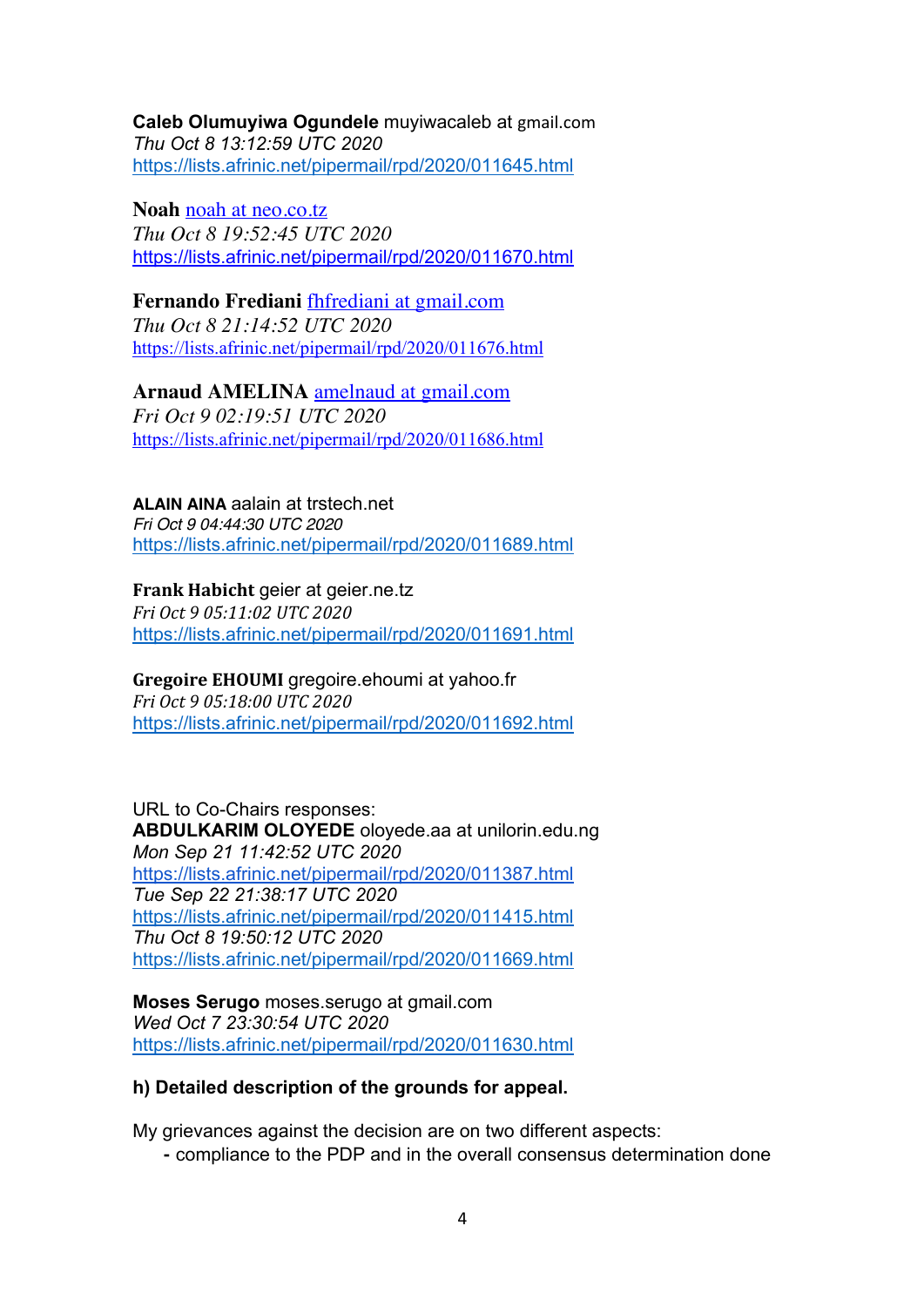**Caleb Olumuyiwa Ogundele** muyiwacaleb at gmail.com *Thu Oct 8 13:12:59 UTC 2020* https://lists.afrinic.net/pipermail/rpd/2020/011645.html

**Noah** noah at neo.co.tz *Thu Oct 8 19:52:45 UTC 2020* https://lists.afrinic.net/pipermail/rpd/2020/011670.html

**Fernando Frediani** fhfrediani at gmail.com *Thu Oct 8 21:14:52 UTC 2020* https://lists.afrinic.net/pipermail/rpd/2020/011676.html

**Arnaud AMELINA** amelnaud at gmail.com *Fri Oct 9 02:19:51 UTC 2020* https://lists.afrinic.net/pipermail/rpd/2020/011686.html

**ALAIN AINA** aalain at trstech.net *Fri Oct 9 04:44:30 UTC 2020* https://lists.afrinic.net/pipermail/rpd/2020/011689.html

**Frank Habicht** geier at geier.ne.tz *Fri Oct 9 05:11:02 UTC 2020* https://lists.afrinic.net/pipermail/rpd/2020/011691.html

**Gregoire EHOUMI** gregoire.ehoumi at yahoo.fr *Fri Oct 9 05:18:00 UTC 2020* https://lists.afrinic.net/pipermail/rpd/2020/011692.html

URL to Co-Chairs responses: **ABDULKARIM OLOYEDE** oloyede.aa at unilorin.edu.ng *Mon Sep 21 11:42:52 UTC 2020* https://lists.afrinic.net/pipermail/rpd/2020/011387.html *Tue Sep 22 21:38:17 UTC 2020* https://lists.afrinic.net/pipermail/rpd/2020/011415.html *Thu Oct 8 19:50:12 UTC 2020* https://lists.afrinic.net/pipermail/rpd/2020/011669.html

**Moses Serugo** moses.serugo at gmail.com *Wed Oct 7 23:30:54 UTC 2020* https://lists.afrinic.net/pipermail/rpd/2020/011630.html

# **h) Detailed description of the grounds for appeal.**

My grievances against the decision are on two different aspects:

⁃ compliance to the PDP and in the overall consensus determination done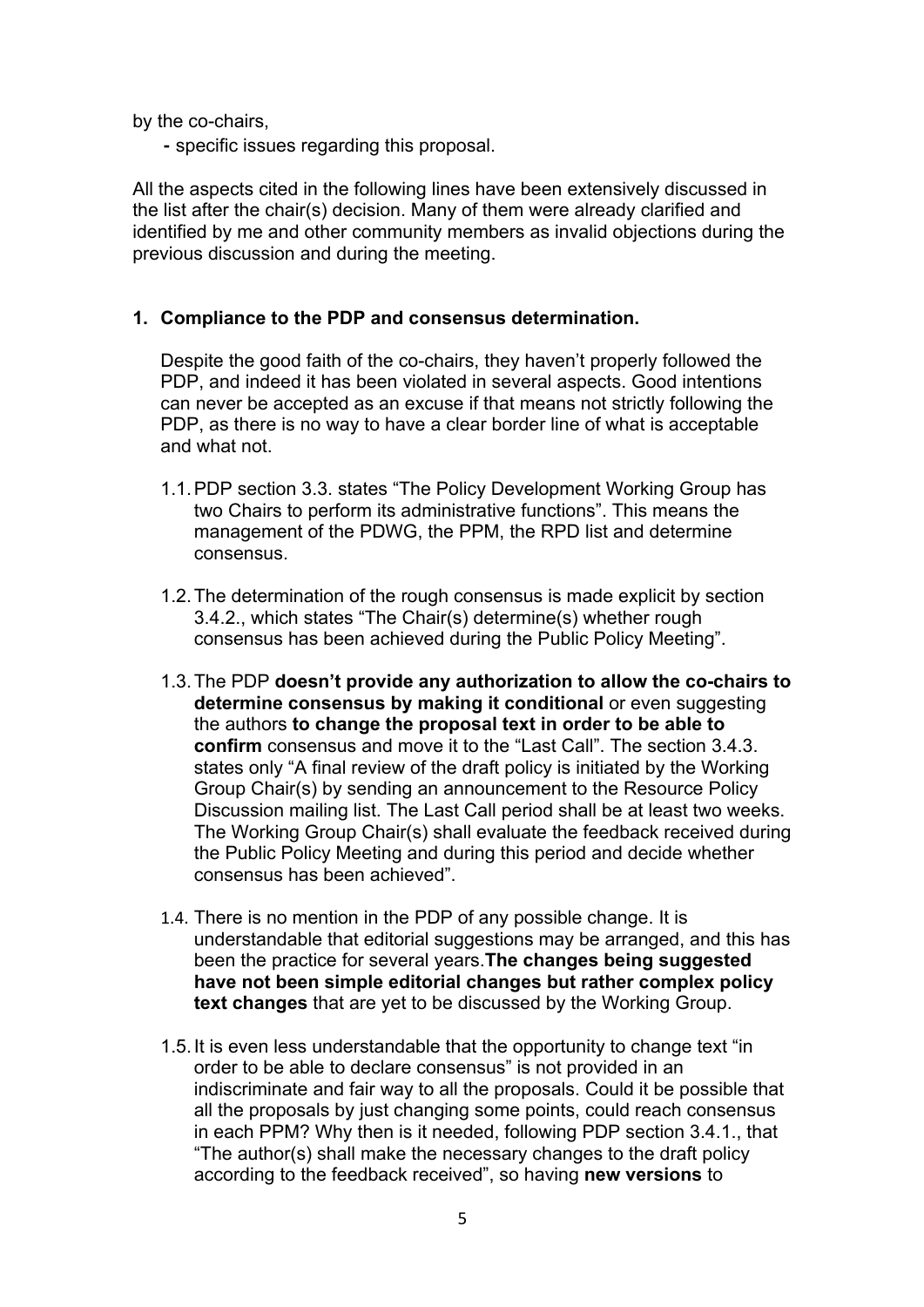by the co-chairs,

⁃ specific issues regarding this proposal.

All the aspects cited in the following lines have been extensively discussed in the list after the chair(s) decision. Many of them were already clarified and identified by me and other community members as invalid objections during the previous discussion and during the meeting.

### **1. Compliance to the PDP and consensus determination.**

Despite the good faith of the co-chairs, they haven't properly followed the PDP, and indeed it has been violated in several aspects. Good intentions can never be accepted as an excuse if that means not strictly following the PDP, as there is no way to have a clear border line of what is acceptable and what not.

- 1.1.PDP section 3.3. states "The Policy Development Working Group has two Chairs to perform its administrative functions". This means the management of the PDWG, the PPM, the RPD list and determine consensus.
- 1.2.The determination of the rough consensus is made explicit by section 3.4.2., which states "The Chair(s) determine(s) whether rough consensus has been achieved during the Public Policy Meeting".
- 1.3.The PDP **doesn't provide any authorization to allow the co-chairs to determine consensus by making it conditional** or even suggesting the authors **to change the proposal text in order to be able to confirm** consensus and move it to the "Last Call". The section 3.4.3. states only "A final review of the draft policy is initiated by the Working Group Chair(s) by sending an announcement to the Resource Policy Discussion mailing list. The Last Call period shall be at least two weeks. The Working Group Chair(s) shall evaluate the feedback received during the Public Policy Meeting and during this period and decide whether consensus has been achieved".
- 1.4. There is no mention in the PDP of any possible change. It is understandable that editorial suggestions may be arranged, and this has been the practice for several years.**The changes being suggested have not been simple editorial changes but rather complex policy text changes** that are yet to be discussed by the Working Group.
- 1.5.It is even less understandable that the opportunity to change text "in order to be able to declare consensus" is not provided in an indiscriminate and fair way to all the proposals. Could it be possible that all the proposals by just changing some points, could reach consensus in each PPM? Why then is it needed, following PDP section 3.4.1., that "The author(s) shall make the necessary changes to the draft policy according to the feedback received", so having **new versions** to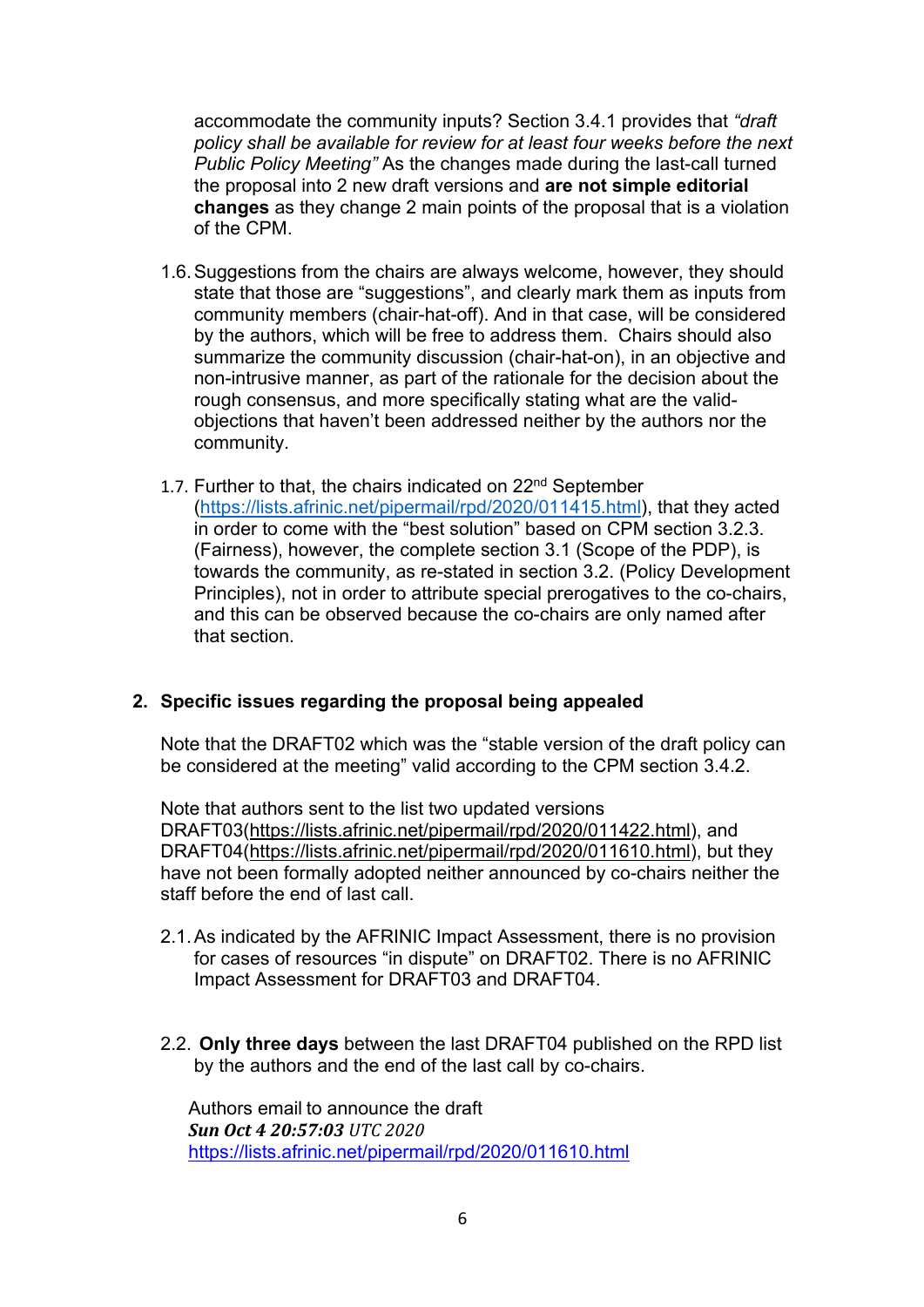accommodate the community inputs? Section 3.4.1 provides that *"draft policy shall be available for review for at least four weeks before the next Public Policy Meeting"* As the changes made during the last-call turned the proposal into 2 new draft versions and **are not simple editorial changes** as they change 2 main points of the proposal that is a violation of the CPM.

- 1.6.Suggestions from the chairs are always welcome, however, they should state that those are "suggestions", and clearly mark them as inputs from community members (chair-hat-off). And in that case, will be considered by the authors, which will be free to address them. Chairs should also summarize the community discussion (chair-hat-on), in an objective and non-intrusive manner, as part of the rationale for the decision about the rough consensus, and more specifically stating what are the validobjections that haven't been addressed neither by the authors nor the community.
- 1.7. Further to that, the chairs indicated on  $22^{nd}$  September (https://lists.afrinic.net/pipermail/rpd/2020/011415.html), that they acted in order to come with the "best solution" based on CPM section 3.2.3. (Fairness), however, the complete section 3.1 (Scope of the PDP), is towards the community, as re-stated in section 3.2. (Policy Development Principles), not in order to attribute special prerogatives to the co-chairs, and this can be observed because the co-chairs are only named after that section.

# **2. Specific issues regarding the proposal being appealed**

Note that the DRAFT02 which was the "stable version of the draft policy can be considered at the meeting" valid according to the CPM section 3.4.2.

Note that authors sent to the list two updated versions DRAFT03(https://lists.afrinic.net/pipermail/rpd/2020/011422.html), and DRAFT04(https://lists.afrinic.net/pipermail/rpd/2020/011610.html), but they have not been formally adopted neither announced by co-chairs neither the staff before the end of last call.

- 2.1.As indicated by the AFRINIC Impact Assessment, there is no provision for cases of resources "in dispute" on DRAFT02. There is no AFRINIC Impact Assessment for DRAFT03 and DRAFT04.
- 2.2. **Only three days** between the last DRAFT04 published on the RPD list by the authors and the end of the last call by co-chairs.

Authors email to announce the draft *Sun Oct 4 20:57:03 UTC 2020* https://lists.afrinic.net/pipermail/rpd/2020/011610.html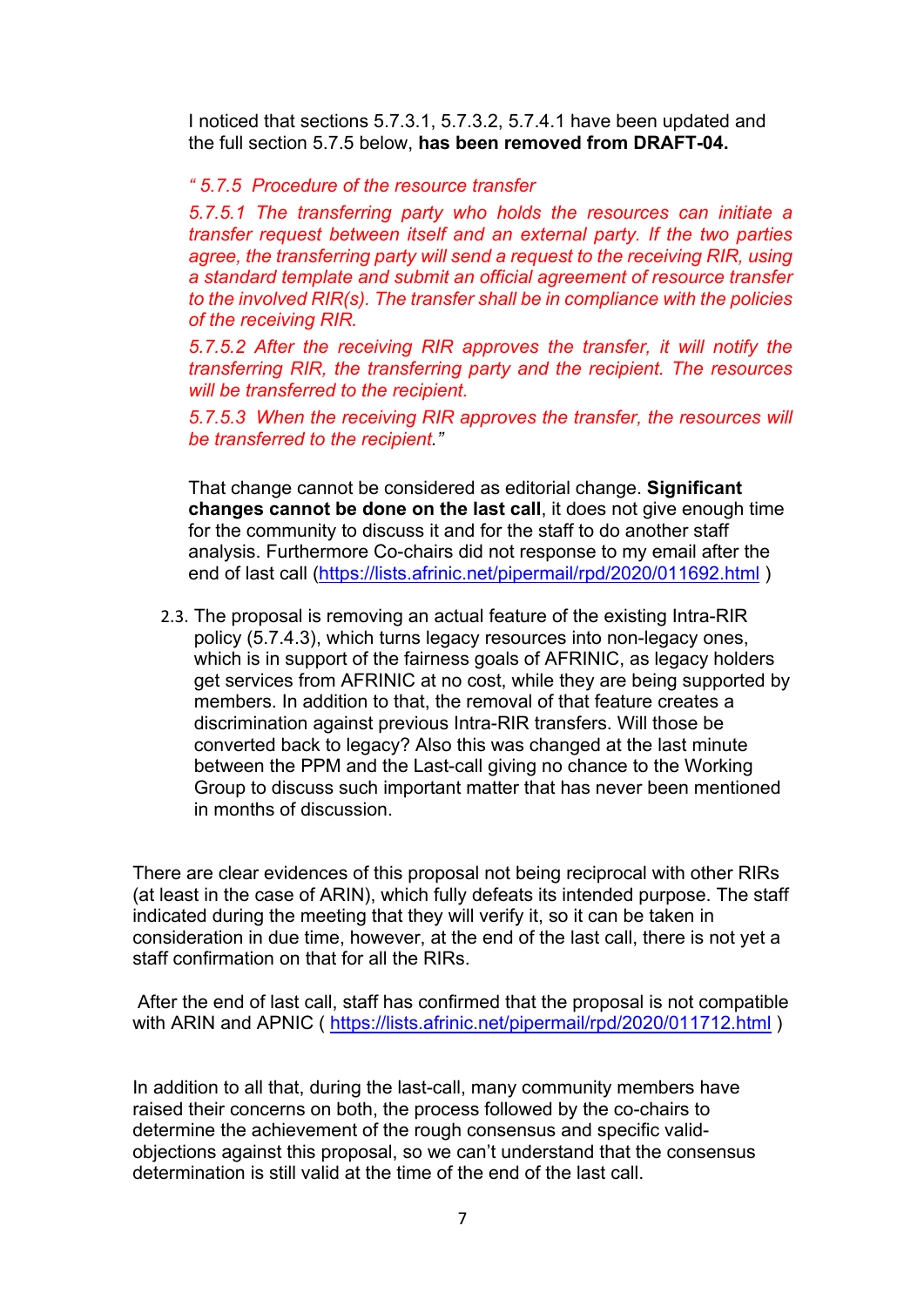I noticed that sections 5.7.3.1, 5.7.3.2, 5.7.4.1 have been updated and the full section 5.7.5 below, **has been removed from DRAFT-04.**

#### *" 5.7.5 Procedure of the resource transfer*

*5.7.5.1 The transferring party who holds the resources can initiate a transfer request between itself and an external party. If the two parties agree, the transferring party will send a request to the receiving RIR, using a standard template and submit an official agreement of resource transfer to the involved RIR(s). The transfer shall be in compliance with the policies of the receiving RIR.*

*5.7.5.2 After the receiving RIR approves the transfer, it will notify the transferring RIR, the transferring party and the recipient. The resources will be transferred to the recipient.*

*5.7.5.3 When the receiving RIR approves the transfer, the resources will be transferred to the recipient."*

That change cannot be considered as editorial change. **Significant changes cannot be done on the last call**, it does not give enough time for the community to discuss it and for the staff to do another staff analysis. Furthermore Co-chairs did not response to my email after the end of last call (https://lists.afrinic.net/pipermail/rpd/2020/011692.html )

2.3. The proposal is removing an actual feature of the existing Intra-RIR policy (5.7.4.3), which turns legacy resources into non-legacy ones, which is in support of the fairness goals of AFRINIC, as legacy holders get services from AFRINIC at no cost, while they are being supported by members. In addition to that, the removal of that feature creates a discrimination against previous Intra-RIR transfers. Will those be converted back to legacy? Also this was changed at the last minute between the PPM and the Last-call giving no chance to the Working Group to discuss such important matter that has never been mentioned in months of discussion.

There are clear evidences of this proposal not being reciprocal with other RIRs (at least in the case of ARIN), which fully defeats its intended purpose. The staff indicated during the meeting that they will verify it, so it can be taken in consideration in due time, however, at the end of the last call, there is not yet a staff confirmation on that for all the RIRs.

After the end of last call, staff has confirmed that the proposal is not compatible with ARIN and APNIC ( https://lists.afrinic.net/pipermail/rpd/2020/011712.html )

In addition to all that, during the last-call, many community members have raised their concerns on both, the process followed by the co-chairs to determine the achievement of the rough consensus and specific validobjections against this proposal, so we can't understand that the consensus determination is still valid at the time of the end of the last call.